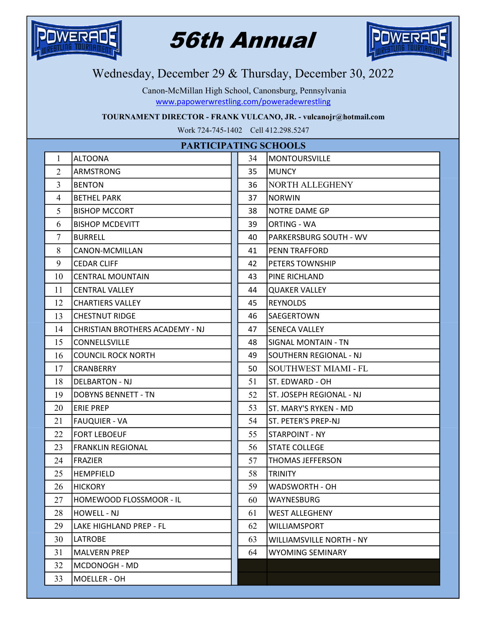

## 56th Annual



## Wednesday, December 29 & Thursday, December 30, 2022

www.papowerwrestling.com/poweradewrestling Canon-McMillan High School, Canonsburg, Pennsylvania

TOURNAMENT DIRECTOR - FRANK VULCANO, JR. - vulcanojr@hotmail.com

Work 724-745-1402 Cell 412.298.5247

| PARTICIPATING SCHOOLS |                                 |    |                                 |
|-----------------------|---------------------------------|----|---------------------------------|
| 1                     | <b>ALTOONA</b>                  | 34 | <b>MONTOURSVILLE</b>            |
| $\overline{2}$        | ARMSTRONG                       | 35 | <b>MUNCY</b>                    |
| 3                     | <b>BENTON</b>                   | 36 | <b>NORTH ALLEGHENY</b>          |
| 4                     | <b>BETHEL PARK</b>              | 37 | INORWIN                         |
| 5                     | <b>BISHOP MCCORT</b>            | 38 | <b>NOTRE DAME GP</b>            |
| 6                     | <b>BISHOP MCDEVITT</b>          | 39 | <b>ORTING - WA</b>              |
| $\tau$                | <b>BURRELL</b>                  | 40 | <b>PARKERSBURG SOUTH - WV</b>   |
| 8                     | CANON-MCMILLAN                  | 41 | PENN TRAFFORD                   |
| 9                     | <b>CEDAR CLIFF</b>              | 42 | <b>PETERS TOWNSHIP</b>          |
| 10                    | <b>CENTRAL MOUNTAIN</b>         | 43 | PINE RICHLAND                   |
| 11                    | <b>CENTRAL VALLEY</b>           | 44 | <b>QUAKER VALLEY</b>            |
| 12                    | <b>CHARTIERS VALLEY</b>         | 45 | <b>REYNOLDS</b>                 |
| 13                    | <b>CHESTNUT RIDGE</b>           | 46 | SAEGERTOWN                      |
| 14                    | CHRISTIAN BROTHERS ACADEMY - NJ | 47 | lSENECA VALLEY                  |
| 15                    | CONNELLSVILLE                   | 48 | <b>SIGNAL MONTAIN - TN</b>      |
| 16                    | <b>COUNCIL ROCK NORTH</b>       | 49 | SOUTHERN REGIONAL - NJ          |
| 17                    | <b>CRANBERRY</b>                | 50 | <b>SOUTHWEST MIAMI - FL</b>     |
| 18                    | <b>DELBARTON - NJ</b>           | 51 | ST. EDWARD - OH                 |
| 19                    | <b>DOBYNS BENNETT - TN</b>      | 52 | <b>ST. JOSEPH REGIONAL - NJ</b> |
| 20                    | <b>ERIE PREP</b>                | 53 | ST. MARY'S RYKEN - MD           |
| 21                    | <b>FAUQUIER - VA</b>            | 54 | ST. PETER'S PREP-NJ             |
| 22                    | <b>FORT LEBOEUF</b>             | 55 | STARPOINT - NY                  |
| 23                    | <b>FRANKLIN REGIONAL</b>        | 56 | <b>STATE COLLEGE</b>            |
| 24                    | <b>IFRAZIER</b>                 | 57 | <b>THOMAS JEFFERSON</b>         |
| 25                    | <b>HEMPFIELD</b>                | 58 | <b>TRINITY</b>                  |
| 26                    | <b>HICKORY</b>                  | 59 | WADSWORTH - OH                  |
| 27                    | HOMEWOOD FLOSSMOOR - IL         | 60 | WAYNESBURG                      |
| 28                    | <b>HOWELL - NJ</b>              | 61 | <b>WEST ALLEGHENY</b>           |
| 29                    | LAKE HIGHLAND PREP - FL         | 62 | WILLIAMSPORT                    |
| 30                    | <b>LATROBE</b>                  | 63 | <b>WILLIAMSVILLE NORTH - NY</b> |
| 31                    | <b>MALVERN PREP</b>             | 64 | <b>WYOMING SEMINARY</b>         |
| 32                    | MCDONOGH - MD                   |    |                                 |
| 33                    | MOELLER - OH                    |    |                                 |
|                       |                                 |    |                                 |